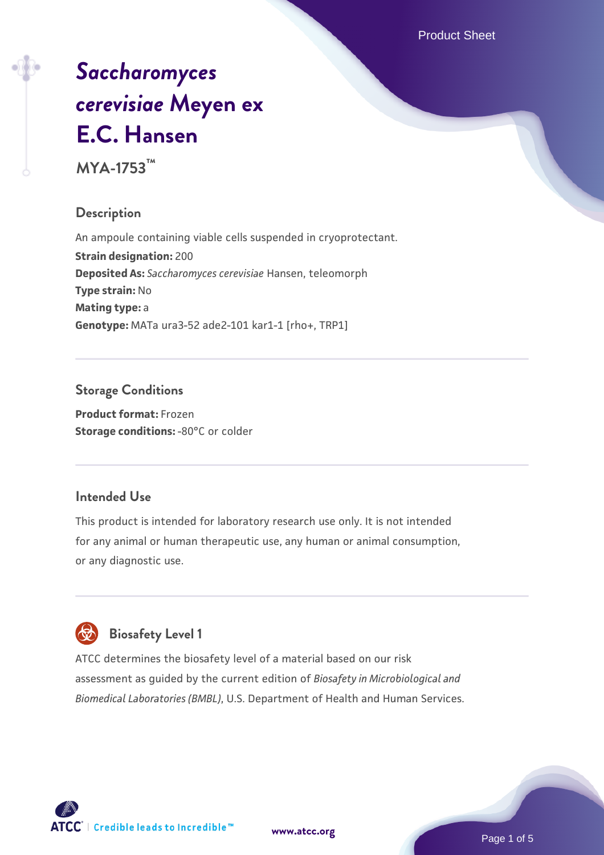Product Sheet

# *[Saccharomyces](https://www.atcc.org/products/mya-1753) [cerevisiae](https://www.atcc.org/products/mya-1753)* **[Meyen ex](https://www.atcc.org/products/mya-1753) [E.C. Hansen](https://www.atcc.org/products/mya-1753)**

**MYA-1753™**

#### **Description**

An ampoule containing viable cells suspended in cryoprotectant. **Strain designation:** 200 **Deposited As:** *Saccharomyces cerevisiae* Hansen, teleomorph **Type strain:** No **Mating type:** a **Genotype:** MATa ura3-52 ade2-101 kar1-1 [rho+, TRP1]

## **Storage Conditions**

**Product format:** Frozen **Storage conditions: -80°C or colder** 

#### **Intended Use**

This product is intended for laboratory research use only. It is not intended for any animal or human therapeutic use, any human or animal consumption, or any diagnostic use.

# **Biosafety Level 1**

ATCC determines the biosafety level of a material based on our risk assessment as guided by the current edition of *Biosafety in Microbiological and Biomedical Laboratories (BMBL)*, U.S. Department of Health and Human Services.

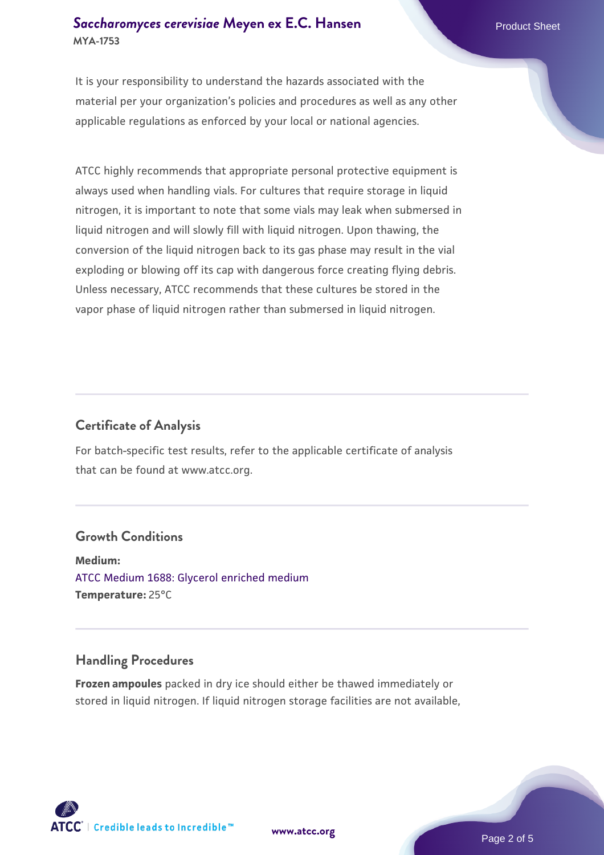#### **[Saccharomyces cerevisiae](https://www.atcc.org/products/mya-1753)** [Meyen ex E.C. Hansen](https://www.atcc.org/products/mya-1753) **MYA-1753**

It is your responsibility to understand the hazards associated with the material per your organization's policies and procedures as well as any other applicable regulations as enforced by your local or national agencies.

ATCC highly recommends that appropriate personal protective equipment is always used when handling vials. For cultures that require storage in liquid nitrogen, it is important to note that some vials may leak when submersed in liquid nitrogen and will slowly fill with liquid nitrogen. Upon thawing, the conversion of the liquid nitrogen back to its gas phase may result in the vial exploding or blowing off its cap with dangerous force creating flying debris. Unless necessary, ATCC recommends that these cultures be stored in the vapor phase of liquid nitrogen rather than submersed in liquid nitrogen.

#### **Certificate of Analysis**

For batch-specific test results, refer to the applicable certificate of analysis that can be found at www.atcc.org.

#### **Growth Conditions**

**Medium:**  [ATCC Medium 1688: Glycerol enriched medium](https://www.atcc.org/-/media/product-assets/documents/microbial-media-formulations/1/6/8/8/atcc-medium-1688.pdf?rev=1729c89ba8fa4c968e47d84284b2308f) **Temperature:** 25°C

#### **Handling Procedures**

**Frozen ampoules** packed in dry ice should either be thawed immediately or stored in liquid nitrogen. If liquid nitrogen storage facilities are not available,

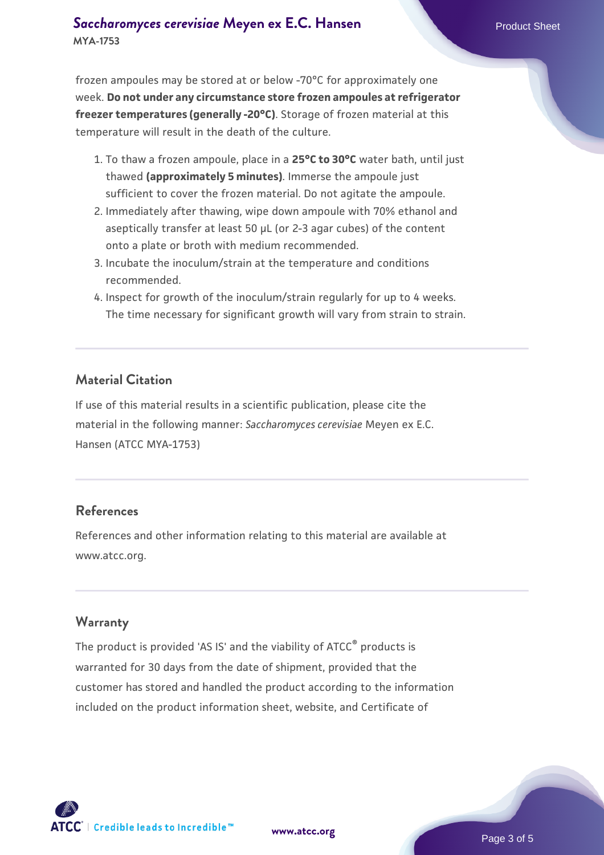#### **[Saccharomyces cerevisiae](https://www.atcc.org/products/mya-1753)** [Meyen ex E.C. Hansen](https://www.atcc.org/products/mya-1753) **MYA-1753**

frozen ampoules may be stored at or below -70°C for approximately one week. **Do not under any circumstance store frozen ampoules at refrigerator freezer temperatures (generally -20°C)**. Storage of frozen material at this temperature will result in the death of the culture.

- 1. To thaw a frozen ampoule, place in a **25°C to 30°C** water bath, until just thawed **(approximately 5 minutes)**. Immerse the ampoule just sufficient to cover the frozen material. Do not agitate the ampoule.
- 2. Immediately after thawing, wipe down ampoule with 70% ethanol and aseptically transfer at least 50 µL (or 2-3 agar cubes) of the content onto a plate or broth with medium recommended.
- 3. Incubate the inoculum/strain at the temperature and conditions recommended.
- 4. Inspect for growth of the inoculum/strain regularly for up to 4 weeks. The time necessary for significant growth will vary from strain to strain.

#### **Material Citation**

If use of this material results in a scientific publication, please cite the material in the following manner: *Saccharomyces cerevisiae* Meyen ex E.C. Hansen (ATCC MYA-1753)

#### **References**

References and other information relating to this material are available at www.atcc.org.

#### **Warranty**

The product is provided 'AS IS' and the viability of ATCC® products is warranted for 30 days from the date of shipment, provided that the customer has stored and handled the product according to the information included on the product information sheet, website, and Certificate of

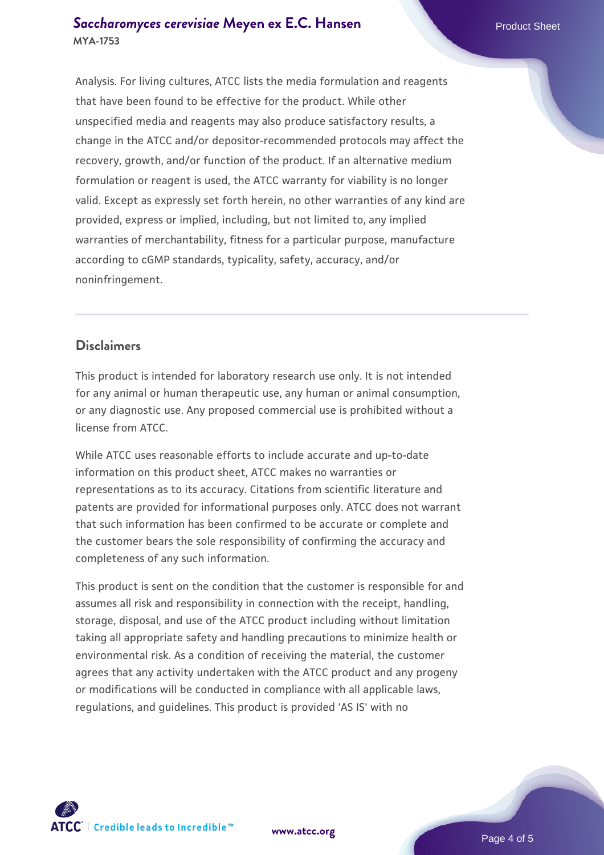#### **[Saccharomyces cerevisiae](https://www.atcc.org/products/mya-1753)** [Meyen ex E.C. Hansen](https://www.atcc.org/products/mya-1753) **MYA-1753**

Analysis. For living cultures, ATCC lists the media formulation and reagents that have been found to be effective for the product. While other unspecified media and reagents may also produce satisfactory results, a change in the ATCC and/or depositor-recommended protocols may affect the recovery, growth, and/or function of the product. If an alternative medium formulation or reagent is used, the ATCC warranty for viability is no longer valid. Except as expressly set forth herein, no other warranties of any kind are provided, express or implied, including, but not limited to, any implied warranties of merchantability, fitness for a particular purpose, manufacture according to cGMP standards, typicality, safety, accuracy, and/or noninfringement.

#### **Disclaimers**

This product is intended for laboratory research use only. It is not intended for any animal or human therapeutic use, any human or animal consumption, or any diagnostic use. Any proposed commercial use is prohibited without a license from ATCC.

While ATCC uses reasonable efforts to include accurate and up-to-date information on this product sheet, ATCC makes no warranties or representations as to its accuracy. Citations from scientific literature and patents are provided for informational purposes only. ATCC does not warrant that such information has been confirmed to be accurate or complete and the customer bears the sole responsibility of confirming the accuracy and completeness of any such information.

This product is sent on the condition that the customer is responsible for and assumes all risk and responsibility in connection with the receipt, handling, storage, disposal, and use of the ATCC product including without limitation taking all appropriate safety and handling precautions to minimize health or environmental risk. As a condition of receiving the material, the customer agrees that any activity undertaken with the ATCC product and any progeny or modifications will be conducted in compliance with all applicable laws, regulations, and guidelines. This product is provided 'AS IS' with no



**[www.atcc.org](http://www.atcc.org)**

Page 4 of 5